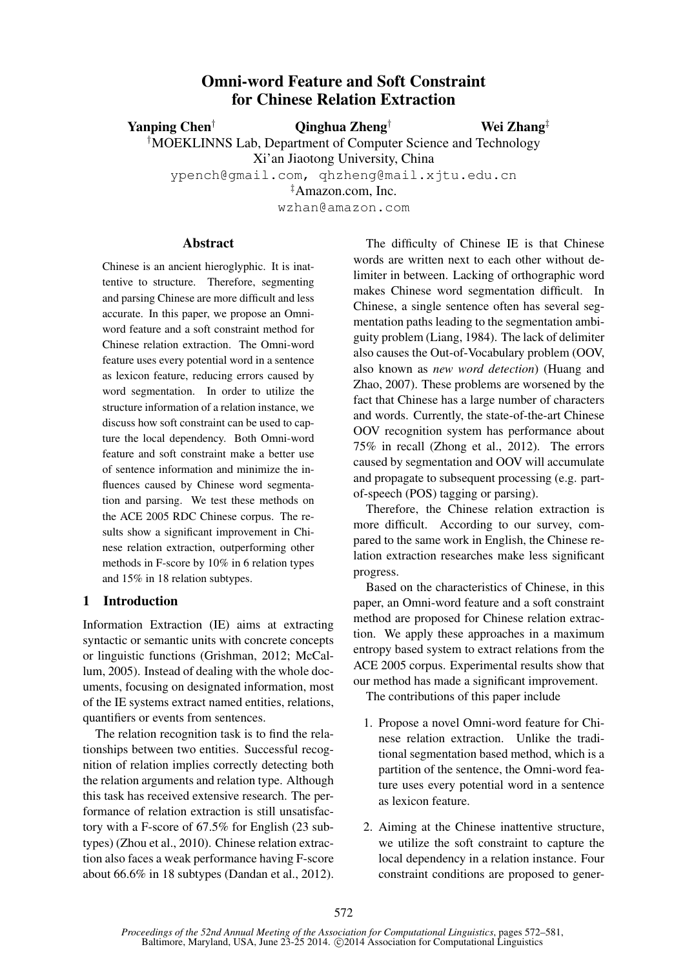# Omni-word Feature and Soft Constraint for Chinese Relation Extraction

Yanping Chen<sup>†</sup>  $\qquad \qquad$  Qinghua Zheng<sup>†</sup>

Wei Zhang‡

†MOEKLINNS Lab, Department of Computer Science and Technology

Xi'an Jiaotong University, China

ypench@gmail.com, qhzheng@mail.xjtu.edu.cn

‡Amazon.com, Inc.

wzhan@amazon.com

#### **Abstract**

Chinese is an ancient hieroglyphic. It is inattentive to structure. Therefore, segmenting and parsing Chinese are more difficult and less accurate. In this paper, we propose an Omniword feature and a soft constraint method for Chinese relation extraction. The Omni-word feature uses every potential word in a sentence as lexicon feature, reducing errors caused by word segmentation. In order to utilize the structure information of a relation instance, we discuss how soft constraint can be used to capture the local dependency. Both Omni-word feature and soft constraint make a better use of sentence information and minimize the influences caused by Chinese word segmentation and parsing. We test these methods on the ACE 2005 RDC Chinese corpus. The results show a significant improvement in Chinese relation extraction, outperforming other methods in F-score by 10% in 6 relation types and 15% in 18 relation subtypes.

## 1 Introduction

Information Extraction (IE) aims at extracting syntactic or semantic units with concrete concepts or linguistic functions (Grishman, 2012; McCallum, 2005). Instead of dealing with the whole documents, focusing on designated information, most of the IE systems extract named entities, relations, quantifiers or events from sentences.

The relation recognition task is to find the relationships between two entities. Successful recognition of relation implies correctly detecting both the relation arguments and relation type. Although this task has received extensive research. The performance of relation extraction is still unsatisfactory with a F-score of 67.5% for English (23 subtypes) (Zhou et al., 2010). Chinese relation extraction also faces a weak performance having F-score about 66.6% in 18 subtypes (Dandan et al., 2012).

The difficulty of Chinese IE is that Chinese words are written next to each other without delimiter in between. Lacking of orthographic word makes Chinese word segmentation difficult. In Chinese, a single sentence often has several segmentation paths leading to the segmentation ambiguity problem (Liang, 1984). The lack of delimiter also causes the Out-of-Vocabulary problem (OOV, also known as *new word detection*) (Huang and Zhao, 2007). These problems are worsened by the fact that Chinese has a large number of characters and words. Currently, the state-of-the-art Chinese OOV recognition system has performance about 75% in recall (Zhong et al., 2012). The errors caused by segmentation and OOV will accumulate and propagate to subsequent processing (e.g. partof-speech (POS) tagging or parsing).

Therefore, the Chinese relation extraction is more difficult. According to our survey, compared to the same work in English, the Chinese relation extraction researches make less significant progress.

Based on the characteristics of Chinese, in this paper, an Omni-word feature and a soft constraint method are proposed for Chinese relation extraction. We apply these approaches in a maximum entropy based system to extract relations from the ACE 2005 corpus. Experimental results show that our method has made a significant improvement.

The contributions of this paper include

- 1. Propose a novel Omni-word feature for Chinese relation extraction. Unlike the traditional segmentation based method, which is a partition of the sentence, the Omni-word feature uses every potential word in a sentence as lexicon feature.
- 2. Aiming at the Chinese inattentive structure, we utilize the soft constraint to capture the local dependency in a relation instance. Four constraint conditions are proposed to gener-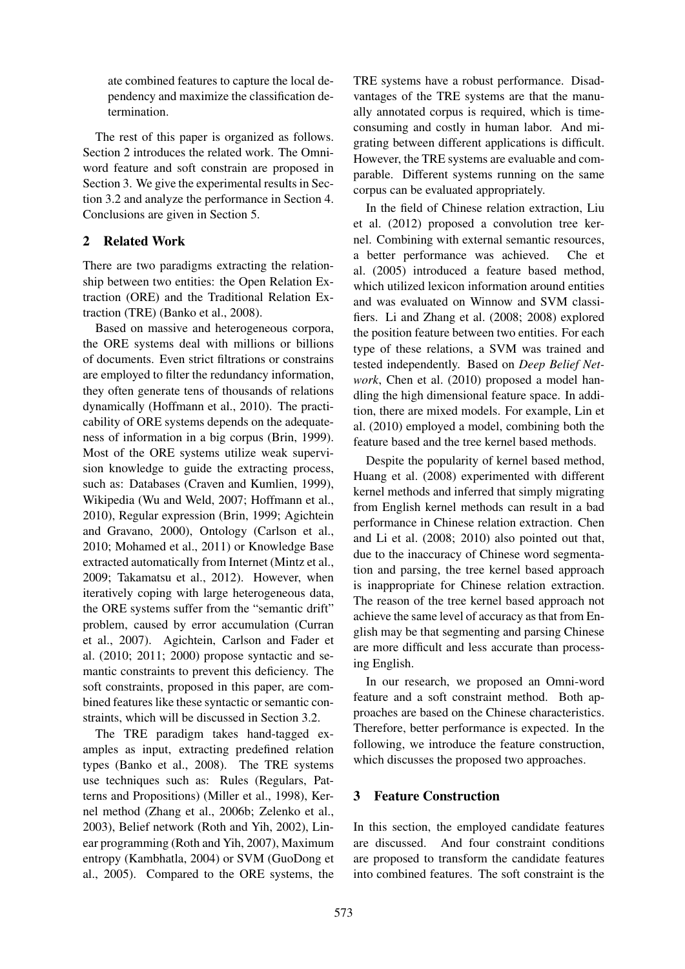ate combined features to capture the local dependency and maximize the classification determination.

The rest of this paper is organized as follows. Section 2 introduces the related work. The Omniword feature and soft constrain are proposed in Section 3. We give the experimental results in Section 3.2 and analyze the performance in Section 4. Conclusions are given in Section 5.

## 2 Related Work

There are two paradigms extracting the relationship between two entities: the Open Relation Extraction (ORE) and the Traditional Relation Extraction (TRE) (Banko et al., 2008).

Based on massive and heterogeneous corpora, the ORE systems deal with millions or billions of documents. Even strict filtrations or constrains are employed to filter the redundancy information, they often generate tens of thousands of relations dynamically (Hoffmann et al., 2010). The practicability of ORE systems depends on the adequateness of information in a big corpus (Brin, 1999). Most of the ORE systems utilize weak supervision knowledge to guide the extracting process, such as: Databases (Craven and Kumlien, 1999), Wikipedia (Wu and Weld, 2007; Hoffmann et al., 2010), Regular expression (Brin, 1999; Agichtein and Gravano, 2000), Ontology (Carlson et al., 2010; Mohamed et al., 2011) or Knowledge Base extracted automatically from Internet (Mintz et al., 2009; Takamatsu et al., 2012). However, when iteratively coping with large heterogeneous data, the ORE systems suffer from the "semantic drift" problem, caused by error accumulation (Curran et al., 2007). Agichtein, Carlson and Fader et al. (2010; 2011; 2000) propose syntactic and semantic constraints to prevent this deficiency. The soft constraints, proposed in this paper, are combined features like these syntactic or semantic constraints, which will be discussed in Section 3.2.

The TRE paradigm takes hand-tagged examples as input, extracting predefined relation types (Banko et al., 2008). The TRE systems use techniques such as: Rules (Regulars, Patterns and Propositions) (Miller et al., 1998), Kernel method (Zhang et al., 2006b; Zelenko et al., 2003), Belief network (Roth and Yih, 2002), Linear programming (Roth and Yih, 2007), Maximum entropy (Kambhatla, 2004) or SVM (GuoDong et al., 2005). Compared to the ORE systems, the TRE systems have a robust performance. Disadvantages of the TRE systems are that the manually annotated corpus is required, which is timeconsuming and costly in human labor. And migrating between different applications is difficult. However, the TRE systems are evaluable and comparable. Different systems running on the same corpus can be evaluated appropriately.

In the field of Chinese relation extraction, Liu et al. (2012) proposed a convolution tree kernel. Combining with external semantic resources, a better performance was achieved. Che et al. (2005) introduced a feature based method, which utilized lexicon information around entities and was evaluated on Winnow and SVM classifiers. Li and Zhang et al. (2008; 2008) explored the position feature between two entities. For each type of these relations, a SVM was trained and tested independently. Based on *Deep Belief Network*, Chen et al. (2010) proposed a model handling the high dimensional feature space. In addition, there are mixed models. For example, Lin et al. (2010) employed a model, combining both the feature based and the tree kernel based methods.

Despite the popularity of kernel based method, Huang et al. (2008) experimented with different kernel methods and inferred that simply migrating from English kernel methods can result in a bad performance in Chinese relation extraction. Chen and Li et al. (2008; 2010) also pointed out that, due to the inaccuracy of Chinese word segmentation and parsing, the tree kernel based approach is inappropriate for Chinese relation extraction. The reason of the tree kernel based approach not achieve the same level of accuracy as that from English may be that segmenting and parsing Chinese are more difficult and less accurate than processing English.

In our research, we proposed an Omni-word feature and a soft constraint method. Both approaches are based on the Chinese characteristics. Therefore, better performance is expected. In the following, we introduce the feature construction, which discusses the proposed two approaches.

# 3 Feature Construction

In this section, the employed candidate features are discussed. And four constraint conditions are proposed to transform the candidate features into combined features. The soft constraint is the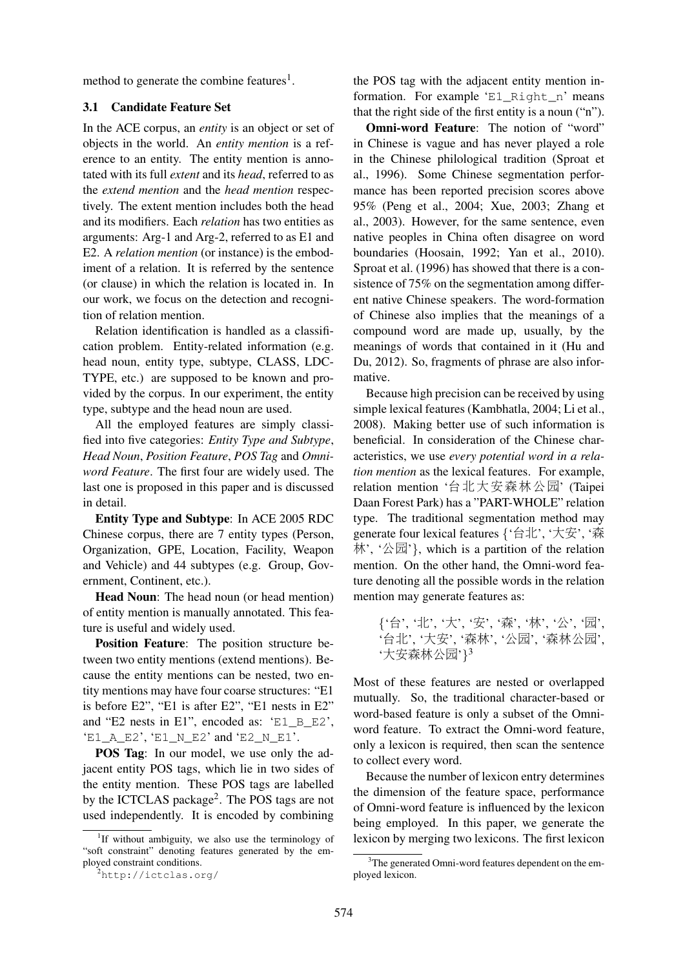method to generate the combine features<sup>1</sup>.

## 3.1 Candidate Feature Set

In the ACE corpus, an *entity* is an object or set of objects in the world. An *entity mention* is a reference to an entity. The entity mention is annotated with its full *extent* and its *head*, referred to as the *extend mention* and the *head mention* respectively. The extent mention includes both the head and its modifiers. Each *relation* has two entities as arguments: Arg-1 and Arg-2, referred to as E1 and E2. A *relation mention* (or instance) is the embodiment of a relation. It is referred by the sentence (or clause) in which the relation is located in. In our work, we focus on the detection and recognition of relation mention.

Relation identification is handled as a classification problem. Entity-related information (e.g. head noun, entity type, subtype, CLASS, LDC-TYPE, etc.) are supposed to be known and provided by the corpus. In our experiment, the entity type, subtype and the head noun are used.

All the employed features are simply classified into five categories: *Entity Type and Subtype*, *Head Noun*, *Position Feature*, *POS Tag* and *Omniword Feature*. The first four are widely used. The last one is proposed in this paper and is discussed in detail.

Entity Type and Subtype: In ACE 2005 RDC Chinese corpus, there are 7 entity types (Person, Organization, GPE, Location, Facility, Weapon and Vehicle) and 44 subtypes (e.g. Group, Government, Continent, etc.).

Head Noun: The head noun (or head mention) of entity mention is manually annotated. This feature is useful and widely used.

Position Feature: The position structure between two entity mentions (extend mentions). Because the entity mentions can be nested, two entity mentions may have four coarse structures: "E1 is before E2", "E1 is after E2", "E1 nests in E2" and "E2 nests in E1", encoded as: 'E1\_B\_E2', 'E1 A E2', 'E1 N E2' and 'E2 N E1'.

POS Tag: In our model, we use only the adjacent entity POS tags, which lie in two sides of the entity mention. These POS tags are labelled by the ICTCLAS package<sup>2</sup>. The POS tags are not used independently. It is encoded by combining

the POS tag with the adjacent entity mention information. For example 'E1 Right n' means that the right side of the first entity is a noun ("n").

Omni-word Feature: The notion of "word" in Chinese is vague and has never played a role in the Chinese philological tradition (Sproat et al., 1996). Some Chinese segmentation performance has been reported precision scores above 95% (Peng et al., 2004; Xue, 2003; Zhang et al., 2003). However, for the same sentence, even native peoples in China often disagree on word boundaries (Hoosain, 1992; Yan et al., 2010). Sproat et al. (1996) has showed that there is a consistence of 75% on the segmentation among different native Chinese speakers. The word-formation of Chinese also implies that the meanings of a compound word are made up, usually, by the meanings of words that contained in it (Hu and Du, 2012). So, fragments of phrase are also informative.

Because high precision can be received by using simple lexical features (Kambhatla, 2004; Li et al., 2008). Making better use of such information is beneficial. In consideration of the Chinese characteristics, we use *every potential word in a relation mention* as the lexical features. For example, relation mention '台北大安森林公园' (Taipei Daan Forest Park) has a "PART-WHOLE" relation type. The traditional segmentation method may generate four lexical features {'台北', '大安', '森 林', '公园'}, which is a partition of the relation mention. On the other hand, the Omni-word feature denoting all the possible words in the relation mention may generate features as:

Most of these features are nested or overlapped mutually. So, the traditional character-based or word-based feature is only a subset of the Omniword feature. To extract the Omni-word feature, only a lexicon is required, then scan the sentence to collect every word.

Because the number of lexicon entry determines the dimension of the feature space, performance of Omni-word feature is influenced by the lexicon being employed. In this paper, we generate the lexicon by merging two lexicons. The first lexicon

<sup>&</sup>lt;sup>1</sup>If without ambiguity, we also use the terminology of "soft constraint" denoting features generated by the employed constraint conditions.

<sup>2</sup>http://ictclas.org/

<sup>{</sup>'台', '北', '大', '安', '森', '林', '公', '园', '台北', '大安', '森林', '公园', '森林公园', '大安森林公园'} 3

<sup>&</sup>lt;sup>3</sup>The generated Omni-word features dependent on the employed lexicon.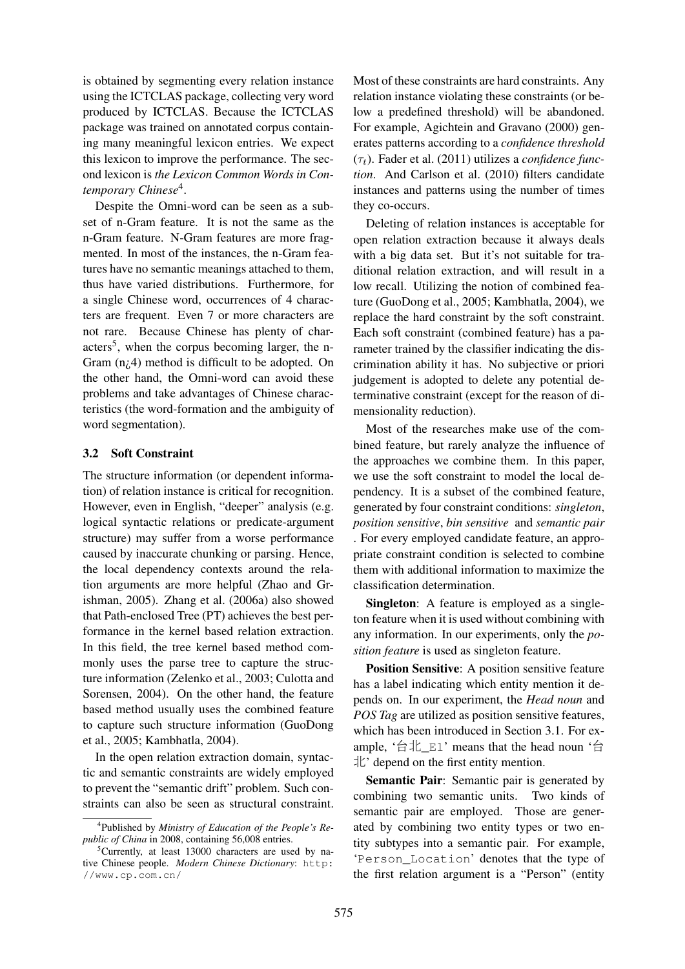is obtained by segmenting every relation instance using the ICTCLAS package, collecting very word produced by ICTCLAS. Because the ICTCLAS package was trained on annotated corpus containing many meaningful lexicon entries. We expect this lexicon to improve the performance. The second lexicon is *the Lexicon Common Words in Contemporary Chinese*<sup>4</sup> .

Despite the Omni-word can be seen as a subset of n-Gram feature. It is not the same as the n-Gram feature. N-Gram features are more fragmented. In most of the instances, the n-Gram features have no semantic meanings attached to them, thus have varied distributions. Furthermore, for a single Chinese word, occurrences of 4 characters are frequent. Even 7 or more characters are not rare. Because Chinese has plenty of characters<sup>5</sup>, when the corpus becoming larger, the n-Gram (n¿4) method is difficult to be adopted. On the other hand, the Omni-word can avoid these problems and take advantages of Chinese characteristics (the word-formation and the ambiguity of word segmentation).

#### 3.2 Soft Constraint

The structure information (or dependent information) of relation instance is critical for recognition. However, even in English, "deeper" analysis (e.g. logical syntactic relations or predicate-argument structure) may suffer from a worse performance caused by inaccurate chunking or parsing. Hence, the local dependency contexts around the relation arguments are more helpful (Zhao and Grishman, 2005). Zhang et al. (2006a) also showed that Path-enclosed Tree (PT) achieves the best performance in the kernel based relation extraction. In this field, the tree kernel based method commonly uses the parse tree to capture the structure information (Zelenko et al., 2003; Culotta and Sorensen, 2004). On the other hand, the feature based method usually uses the combined feature to capture such structure information (GuoDong et al., 2005; Kambhatla, 2004).

In the open relation extraction domain, syntactic and semantic constraints are widely employed to prevent the "semantic drift" problem. Such constraints can also be seen as structural constraint.

Most of these constraints are hard constraints. Any relation instance violating these constraints (or below a predefined threshold) will be abandoned. For example, Agichtein and Gravano (2000) generates patterns according to a *confidence threshold*  $(\tau_t)$ . Fader et al. (2011) utilizes a *confidence function*. And Carlson et al. (2010) filters candidate instances and patterns using the number of times they co-occurs.

Deleting of relation instances is acceptable for open relation extraction because it always deals with a big data set. But it's not suitable for traditional relation extraction, and will result in a low recall. Utilizing the notion of combined feature (GuoDong et al., 2005; Kambhatla, 2004), we replace the hard constraint by the soft constraint. Each soft constraint (combined feature) has a parameter trained by the classifier indicating the discrimination ability it has. No subjective or priori judgement is adopted to delete any potential determinative constraint (except for the reason of dimensionality reduction).

Most of the researches make use of the combined feature, but rarely analyze the influence of the approaches we combine them. In this paper, we use the soft constraint to model the local dependency. It is a subset of the combined feature, generated by four constraint conditions: *singleton*, *position sensitive*, *bin sensitive* and *semantic pair* . For every employed candidate feature, an appropriate constraint condition is selected to combine them with additional information to maximize the classification determination.

Singleton: A feature is employed as a singleton feature when it is used without combining with any information. In our experiments, only the *position feature* is used as singleton feature.

Position Sensitive: A position sensitive feature has a label indicating which entity mention it depends on. In our experiment, the *Head noun* and *POS Tag* are utilized as position sensitive features, which has been introduced in Section 3.1. For example, '台北\_E1' means that the head noun '台  $\pm$ <sup>2</sup> depend on the first entity mention.

Semantic Pair: Semantic pair is generated by combining two semantic units. Two kinds of semantic pair are employed. Those are generated by combining two entity types or two entity subtypes into a semantic pair. For example, 'Person\_Location' denotes that the type of the first relation argument is a "Person" (entity

<sup>4</sup> Published by *Ministry of Education of the People's Republic of China* in 2008, containing 56,008 entries.

<sup>&</sup>lt;sup>5</sup>Currently, at least 13000 characters are used by native Chinese people. *Modern Chinese Dictionary*: http: //www.cp.com.cn/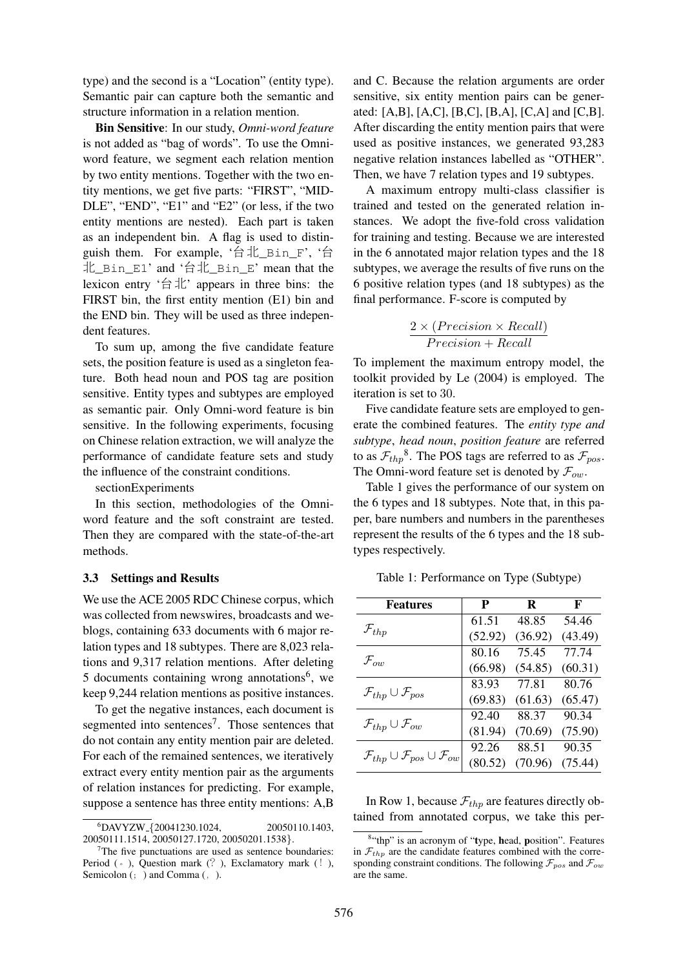type) and the second is a "Location" (entity type). Semantic pair can capture both the semantic and structure information in a relation mention.

Bin Sensitive: In our study, *Omni-word feature* is not added as "bag of words". To use the Omniword feature, we segment each relation mention by two entity mentions. Together with the two entity mentions, we get five parts: "FIRST", "MID-DLE", "END", "E1" and "E2" (or less, if the two entity mentions are nested). Each part is taken as an independent bin. A flag is used to distinguish them. For example, '台北\_Bin\_F', '台 北\_Bin\_E1' and '台北\_Bin\_E' mean that the lexicon entry '台北' appears in three bins: the FIRST bin, the first entity mention (E1) bin and the END bin. They will be used as three independent features.

To sum up, among the five candidate feature sets, the position feature is used as a singleton feature. Both head noun and POS tag are position sensitive. Entity types and subtypes are employed as semantic pair. Only Omni-word feature is bin sensitive. In the following experiments, focusing on Chinese relation extraction, we will analyze the performance of candidate feature sets and study the influence of the constraint conditions.

sectionExperiments

In this section, methodologies of the Omniword feature and the soft constraint are tested. Then they are compared with the state-of-the-art methods.

#### 3.3 Settings and Results

We use the ACE 2005 RDC Chinese corpus, which was collected from newswires, broadcasts and weblogs, containing 633 documents with 6 major relation types and 18 subtypes. There are 8,023 relations and 9,317 relation mentions. After deleting 5 documents containing wrong annotations<sup>6</sup>, we keep 9,244 relation mentions as positive instances.

To get the negative instances, each document is segmented into sentences<sup>7</sup>. Those sentences that do not contain any entity mention pair are deleted. For each of the remained sentences, we iteratively extract every entity mention pair as the arguments of relation instances for predicting. For example, suppose a sentence has three entity mentions: A,B

and C. Because the relation arguments are order sensitive, six entity mention pairs can be generated: [A,B], [A,C], [B,C], [B,A], [C,A] and [C,B]. After discarding the entity mention pairs that were used as positive instances, we generated 93,283 negative relation instances labelled as "OTHER". Then, we have 7 relation types and 19 subtypes.

A maximum entropy multi-class classifier is trained and tested on the generated relation instances. We adopt the five-fold cross validation for training and testing. Because we are interested in the 6 annotated major relation types and the 18 subtypes, we average the results of five runs on the 6 positive relation types (and 18 subtypes) as the final performance. F-score is computed by

$$
\frac{2 \times (Precision \times Recall)}{Precision + Recall}
$$

To implement the maximum entropy model, the toolkit provided by Le (2004) is employed. The iteration is set to 30.

Five candidate feature sets are employed to generate the combined features. The *entity type and subtype*, *head noun*, *position feature* are referred to as  $\mathcal{F}_{thp}^8$ . The POS tags are referred to as  $\mathcal{F}_{pos}$ . The Omni-word feature set is denoted by  $\mathcal{F}_{ow}$ .

Table 1 gives the performance of our system on the 6 types and 18 subtypes. Note that, in this paper, bare numbers and numbers in the parentheses represent the results of the 6 types and the 18 subtypes respectively.

Table 1: Performance on Type (Subtype)

| <b>Features</b>                                                  | P       | R       | F       |
|------------------------------------------------------------------|---------|---------|---------|
|                                                                  | 61.51   | 48.85   | 54.46   |
| $\mathcal{F}_{thp}$                                              | (52.92) | (36.92) | (43.49) |
|                                                                  | 80.16   | 75.45   | 77.74   |
| $\mathcal{F}_{ow}$                                               | (66.98) | (54.85) | (60.31) |
|                                                                  | 83.93   | 77.81   | 80.76   |
| $\mathcal{F}_{thp} \cup \mathcal{F}_{pos}$                       | (69.83) | (61.63) | (65.47) |
|                                                                  | 92.40   | 88.37   | 90.34   |
| $\mathcal{F}_{thp} \cup \mathcal{F}_{ow}$                        | (81.94) | (70.69) | (75.90) |
|                                                                  | 92.26   | 88.51   | 90.35   |
| $\mathcal{F}_{thp} \cup \mathcal{F}_{pos} \cup \mathcal{F}_{ow}$ | (80.52) | (70.96) | (75.44) |

In Row 1, because  $\mathcal{F}_{thp}$  are features directly obtained from annotated corpus, we take this per-

 ${}^{6}$ DAVYZW<sub>-</sub>{20041230.1024, 20050110.1403, 20050111.1514, 20050127.1720, 20050201.1538}.

 $7$ The five punctuations are used as sentence boundaries: Period  $(\circ)$ , Question mark  $(?)$ , Exclamatory mark  $(!)$ , Semicolon (; ) and Comma (, ).

<sup>&</sup>lt;sup>8</sup>"thp" is an acronym of "type, head, position". Features in  $\mathcal{F}_{thp}$  are the candidate features combined with the corresponding constraint conditions. The following  $\mathcal{F}_{pos}$  and  $\mathcal{F}_{ow}$ are the same.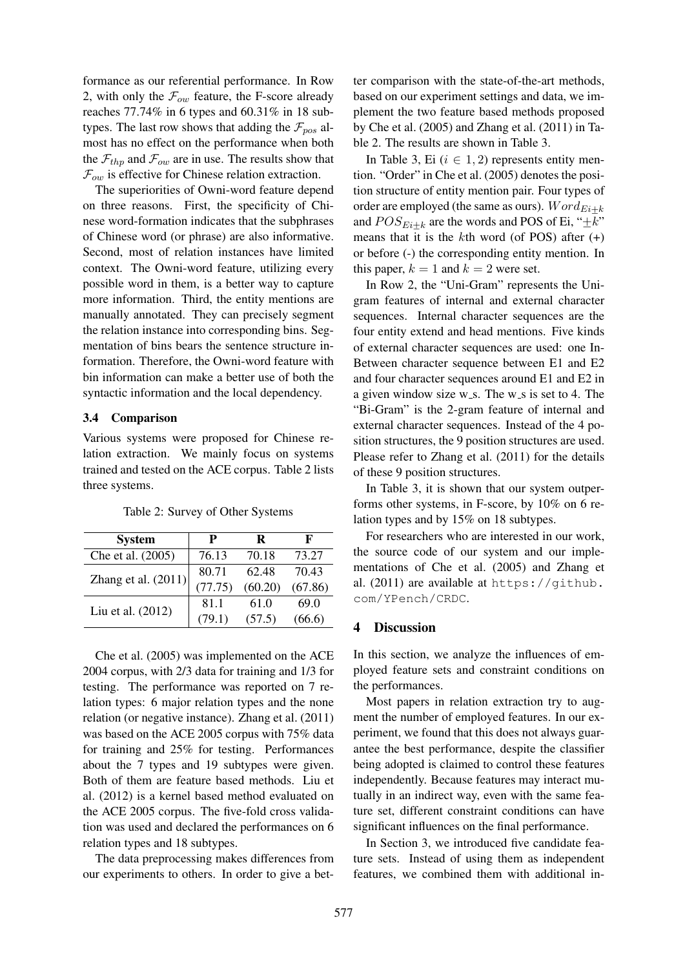formance as our referential performance. In Row 2, with only the  $\mathcal{F}_{ow}$  feature, the F-score already reaches 77.74% in 6 types and 60.31% in 18 subtypes. The last row shows that adding the  $\mathcal{F}_{pos}$  almost has no effect on the performance when both the  $\mathcal{F}_{thp}$  and  $\mathcal{F}_{ow}$  are in use. The results show that  $\mathcal{F}_{ow}$  is effective for Chinese relation extraction.

The superiorities of Owni-word feature depend on three reasons. First, the specificity of Chinese word-formation indicates that the subphrases of Chinese word (or phrase) are also informative. Second, most of relation instances have limited context. The Owni-word feature, utilizing every possible word in them, is a better way to capture more information. Third, the entity mentions are manually annotated. They can precisely segment the relation instance into corresponding bins. Segmentation of bins bears the sentence structure information. Therefore, the Owni-word feature with bin information can make a better use of both the syntactic information and the local dependency.

#### 3.4 Comparison

Various systems were proposed for Chinese relation extraction. We mainly focus on systems trained and tested on the ACE corpus. Table 2 lists three systems.

| <b>System</b>         | P       | R       | F       |
|-----------------------|---------|---------|---------|
| Che et al. (2005)     | 76.13   | 70.18   | 73.27   |
| Zhang et al. $(2011)$ | 80.71   | 62.48   | 70.43   |
|                       | (77.75) | (60.20) | (67.86) |
| Liu et al. (2012)     | 81.1    | 61.0    | 69.0    |
|                       | (79.1)  | (57.5)  | (66.6)  |

Table 2: Survey of Other Systems

Che et al. (2005) was implemented on the ACE 2004 corpus, with 2/3 data for training and 1/3 for testing. The performance was reported on 7 relation types: 6 major relation types and the none relation (or negative instance). Zhang et al. (2011) was based on the ACE 2005 corpus with 75% data for training and 25% for testing. Performances about the 7 types and 19 subtypes were given. Both of them are feature based methods. Liu et al. (2012) is a kernel based method evaluated on the ACE 2005 corpus. The five-fold cross validation was used and declared the performances on 6 relation types and 18 subtypes.

The data preprocessing makes differences from our experiments to others. In order to give a better comparison with the state-of-the-art methods, based on our experiment settings and data, we implement the two feature based methods proposed by Che et al. (2005) and Zhang et al. (2011) in Table 2. The results are shown in Table 3.

In Table 3, Ei  $(i \in 1, 2)$  represents entity mention. "Order" in Che et al. (2005) denotes the position structure of entity mention pair. Four types of order are employed (the same as ours).  $Word_{Ei+k}$ and  $POS_{E_{i}+k}$  are the words and POS of Ei, " $\pm k$ " means that it is the kth word (of POS) after  $(+)$ or before (-) the corresponding entity mention. In this paper,  $k = 1$  and  $k = 2$  were set.

In Row 2, the "Uni-Gram" represents the Unigram features of internal and external character sequences. Internal character sequences are the four entity extend and head mentions. Five kinds of external character sequences are used: one In-Between character sequence between E1 and E2 and four character sequences around E1 and E2 in a given window size  $w$ <sub>-S</sub>. The  $w$ <sub>-S</sub> is set to 4. The "Bi-Gram" is the 2-gram feature of internal and external character sequences. Instead of the 4 position structures, the 9 position structures are used. Please refer to Zhang et al. (2011) for the details of these 9 position structures.

In Table 3, it is shown that our system outperforms other systems, in F-score, by 10% on 6 relation types and by 15% on 18 subtypes.

For researchers who are interested in our work, the source code of our system and our implementations of Che et al. (2005) and Zhang et al. (2011) are available at https://github. com/YPench/CRDC.

#### 4 Discussion

In this section, we analyze the influences of employed feature sets and constraint conditions on the performances.

Most papers in relation extraction try to augment the number of employed features. In our experiment, we found that this does not always guarantee the best performance, despite the classifier being adopted is claimed to control these features independently. Because features may interact mutually in an indirect way, even with the same feature set, different constraint conditions can have significant influences on the final performance.

In Section 3, we introduced five candidate feature sets. Instead of using them as independent features, we combined them with additional in-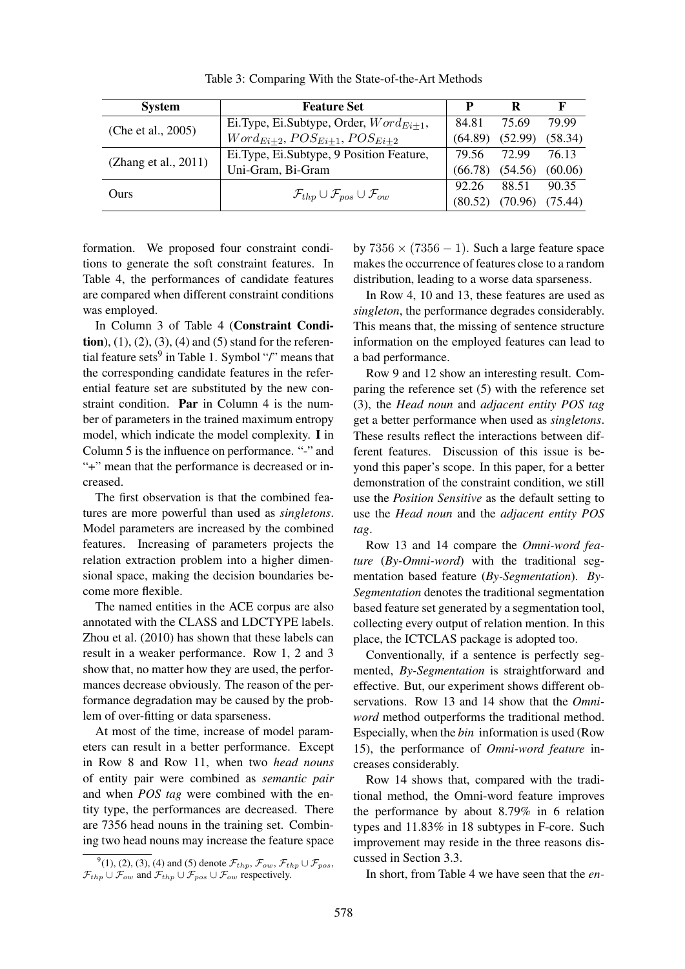| <b>System</b>        | <b>Feature Set</b>                                               | D       | R       | F       |
|----------------------|------------------------------------------------------------------|---------|---------|---------|
| (Che et al., 2005)   | Ei.Type, Ei.Subtype, Order, $Word_{E_{i+1}}$ ,                   | 84.81   | 75.69   | 79.99   |
|                      | $Word_{E_{i+2}}, POS_{E_{i+1}},POS_{E_{i+2}}$                    | (64.89) | (52.99) | (58.34) |
| (Zhang et al., 2011) | Ei.Type, Ei.Subtype, 9 Position Feature,                         | 79.56   | 72.99   | 76.13   |
|                      | Uni-Gram, Bi-Gram                                                | (66.78) | (54.56) | (60.06) |
| Ours                 |                                                                  | 92.26   | 88.51   | 90.35   |
|                      | $\mathcal{F}_{thp} \cup \mathcal{F}_{pos} \cup \mathcal{F}_{ow}$ | (80.52) | (70.96) | (75.44) |

Table 3: Comparing With the State-of-the-Art Methods

formation. We proposed four constraint conditions to generate the soft constraint features. In Table 4, the performances of candidate features are compared when different constraint conditions was employed.

In Column 3 of Table 4 (Constraint Condi**tion**), (1), (2), (3), (4) and (5) stand for the referential feature sets<sup>9</sup> in Table 1. Symbol "/" means that the corresponding candidate features in the referential feature set are substituted by the new constraint condition. Par in Column 4 is the number of parameters in the trained maximum entropy model, which indicate the model complexity. I in Column 5 is the influence on performance. "-" and "+" mean that the performance is decreased or increased.

The first observation is that the combined features are more powerful than used as *singletons*. Model parameters are increased by the combined features. Increasing of parameters projects the relation extraction problem into a higher dimensional space, making the decision boundaries become more flexible.

The named entities in the ACE corpus are also annotated with the CLASS and LDCTYPE labels. Zhou et al. (2010) has shown that these labels can result in a weaker performance. Row 1, 2 and 3 show that, no matter how they are used, the performances decrease obviously. The reason of the performance degradation may be caused by the problem of over-fitting or data sparseness.

At most of the time, increase of model parameters can result in a better performance. Except in Row 8 and Row 11, when two *head nouns* of entity pair were combined as *semantic pair* and when *POS tag* were combined with the entity type, the performances are decreased. There are 7356 head nouns in the training set. Combining two head nouns may increase the feature space by  $7356 \times (7356 - 1)$ . Such a large feature space makes the occurrence of features close to a random distribution, leading to a worse data sparseness.

In Row 4, 10 and 13, these features are used as *singleton*, the performance degrades considerably. This means that, the missing of sentence structure information on the employed features can lead to a bad performance.

Row 9 and 12 show an interesting result. Comparing the reference set (5) with the reference set (3), the *Head noun* and *adjacent entity POS tag* get a better performance when used as *singletons*. These results reflect the interactions between different features. Discussion of this issue is beyond this paper's scope. In this paper, for a better demonstration of the constraint condition, we still use the *Position Sensitive* as the default setting to use the *Head noun* and the *adjacent entity POS tag*.

Row 13 and 14 compare the *Omni-word feature* (*By-Omni-word*) with the traditional segmentation based feature (*By-Segmentation*). *By-Segmentation* denotes the traditional segmentation based feature set generated by a segmentation tool, collecting every output of relation mention. In this place, the ICTCLAS package is adopted too.

Conventionally, if a sentence is perfectly segmented, *By-Segmentation* is straightforward and effective. But, our experiment shows different observations. Row 13 and 14 show that the *Omniword* method outperforms the traditional method. Especially, when the *bin* information is used (Row 15), the performance of *Omni-word feature* increases considerably.

Row 14 shows that, compared with the traditional method, the Omni-word feature improves the performance by about 8.79% in 6 relation types and 11.83% in 18 subtypes in F-core. Such improvement may reside in the three reasons discussed in Section 3.3.

In short, from Table 4 we have seen that the *en-*

<sup>&</sup>lt;sup>9</sup>(1), (2), (3), (4) and (5) denote  $\mathcal{F}_{thp}$ ,  $\mathcal{F}_{ow}$ ,  $\mathcal{F}_{thp} \cup \mathcal{F}_{pos}$ ,  $\mathcal{F}_{thp} \cup \mathcal{F}_{ow}$  and  $\mathcal{F}_{thp} \cup \mathcal{F}_{pos} \cup \mathcal{F}_{ow}$  respectively.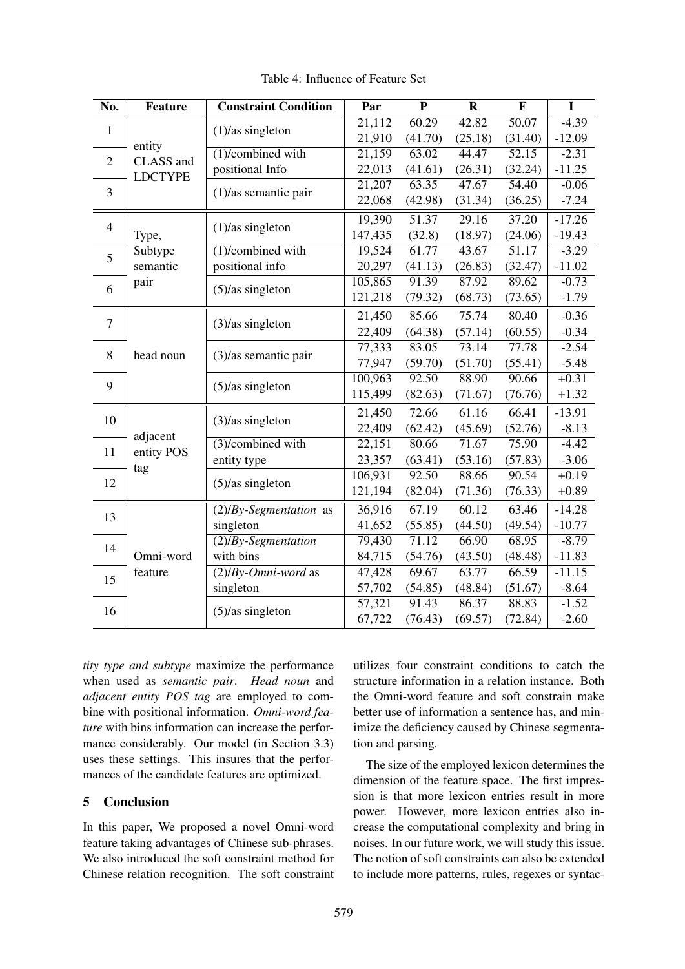| No.                                                                          | <b>Feature</b>                  | <b>Constraint Condition</b>  | Par     | $\overline{\mathbf{P}}$ | $\overline{\mathbf{R}}$ | $\overline{\mathbf{F}}$ | $\overline{\mathbf{I}}$ |
|------------------------------------------------------------------------------|---------------------------------|------------------------------|---------|-------------------------|-------------------------|-------------------------|-------------------------|
| $\mathbf{1}$<br>entity<br>CLASS and<br>$\overline{2}$<br><b>LDCTYPE</b><br>3 |                                 | 21,112                       | 60.29   | 42.82                   | 50.07                   | $-4.39$                 |                         |
|                                                                              | $(1)/$ as singleton             | 21,910                       | (41.70) | (25.18)                 | (31.40)                 | $-12.09$                |                         |
|                                                                              | $\overline{(1)}$ /combined with | 21,159                       | 63.02   | 44.47                   | 52.15                   | $-2.31$                 |                         |
|                                                                              | positional Info                 | 22,013                       | (41.61) | (26.31)                 | (32.24)                 | $-11.25$                |                         |
|                                                                              |                                 | 21,207                       | 63.35   | 47.67                   | $\overline{54.40}$      | $-0.06$                 |                         |
|                                                                              |                                 | $(1)/$ as semantic pair      | 22,068  | (42.98)                 | (31.34)                 | (36.25)                 | $-7.24$                 |
|                                                                              |                                 | $(1)/$ as singleton          | 19,390  | 51.37                   | $\overline{29.16}$      | $\overline{37.20}$      | $-17.26$                |
| $\overline{4}$<br>Type,                                                      |                                 |                              | 147,435 | (32.8)                  | (18.97)                 | (24.06)                 | $-19.43$                |
| 5                                                                            | Subtype                         | $(1)/$ combined with         | 19,524  | 61.77                   | 43.67                   | 51.17                   | $-3.29$                 |
|                                                                              | semantic                        | positional info              | 20,297  | (41.13)                 | (26.83)                 | (32.47)                 | $-11.02$                |
| 6                                                                            | pair                            | $(5)/as$ singleton           | 105,865 | 91.39                   | 87.92                   | 89.62                   | $-0.73$                 |
|                                                                              |                                 |                              | 121,218 | (79.32)                 | (68.73)                 | (73.65)                 | $-1.79$                 |
|                                                                              |                                 | $(3)/$ as singleton          | 21,450  | 85.66                   | 75.74                   | 80.40                   | $-0.36$                 |
| $\overline{7}$                                                               |                                 |                              | 22,409  | (64.38)                 | (57.14)                 | (60.55)                 | $-0.34$                 |
| 8                                                                            | head noun                       | $(3)/$ as semantic pair      | 77,333  | 83.05                   | 73.14                   | 77.78                   | $-2.54$                 |
|                                                                              |                                 |                              | 77,947  | (59.70)                 | (51.70)                 | (55.41)                 | $-5.48$                 |
| 9                                                                            |                                 | 100,963                      | 92.50   | 88.90                   | 90.66                   | $+0.31$                 |                         |
|                                                                              |                                 | $(5)/as$ singleton           | 115,499 | (82.63)                 | (71.67)                 | (76.76)                 | $+1.32$                 |
|                                                                              |                                 |                              | 21,450  | 72.66                   | 61.16                   | 66.41                   | $-13.91$                |
| 10                                                                           | adjacent                        | $(3)/as$ singleton           | 22,409  | (62.42)                 | (45.69)                 | (52.76)                 | $-8.13$                 |
| 11                                                                           | entity POS                      | $\sqrt{(3)}$ /combined with  | 22,151  | 80.66                   | 71.67                   | 75.90                   | $-4.42$                 |
|                                                                              | entity type                     | 23,357                       | (63.41) | (53.16)                 | (57.83)                 | $-3.06$                 |                         |
| tag<br>12                                                                    | $(5)/as$ singleton              | 106,931                      | 92.50   | 88.66                   | 90.54                   | $+0.19$                 |                         |
|                                                                              |                                 | 121,194                      | (82.04) | (71.36)                 | (76.33)                 | $+0.89$                 |                         |
|                                                                              |                                 | $(2)/By-Segmentation$ as     | 36,916  | 67.19                   | 60.12                   | 63.46                   | $-14.28$                |
| 13                                                                           | singleton                       | 41,652                       | (55.85) | (44.50)                 | (49.54)                 | $-10.77$                |                         |
|                                                                              |                                 | $(2)/By-Segmentation$        | 79,430  | 71.12                   | 66.90                   | 68.95                   | $-8.79$                 |
| 14<br>Omni-word                                                              | with bins                       | 84,715                       | (54.76) | (43.50)                 | (48.48)                 | $-11.83$                |                         |
| 15                                                                           | feature                         | $\sqrt{(2)/By-Omni-word}$ as | 47,428  | 69.67                   | 63.77                   | 66.59                   | $-11.15$                |
|                                                                              |                                 | singleton                    | 57,702  | (54.85)                 | (48.84)                 | (51.67)                 | $-8.64$                 |
| 16                                                                           |                                 | $(5)/as$ singleton           | 57,321  | 91.43                   | 86.37                   | 88.83                   | $-1.52$                 |
|                                                                              |                                 | 67,722                       | (76.43) | (69.57)                 | (72.84)                 | $-2.60$                 |                         |

Table 4: Influence of Feature Set

*tity type and subtype* maximize the performance when used as *semantic pair*. *Head noun* and *adjacent entity POS tag* are employed to combine with positional information. *Omni-word feature* with bins information can increase the performance considerably. Our model (in Section 3.3) uses these settings. This insures that the performances of the candidate features are optimized.

## 5 Conclusion

In this paper, We proposed a novel Omni-word feature taking advantages of Chinese sub-phrases. We also introduced the soft constraint method for Chinese relation recognition. The soft constraint utilizes four constraint conditions to catch the structure information in a relation instance. Both the Omni-word feature and soft constrain make better use of information a sentence has, and minimize the deficiency caused by Chinese segmentation and parsing.

The size of the employed lexicon determines the dimension of the feature space. The first impression is that more lexicon entries result in more power. However, more lexicon entries also increase the computational complexity and bring in noises. In our future work, we will study this issue. The notion of soft constraints can also be extended to include more patterns, rules, regexes or syntac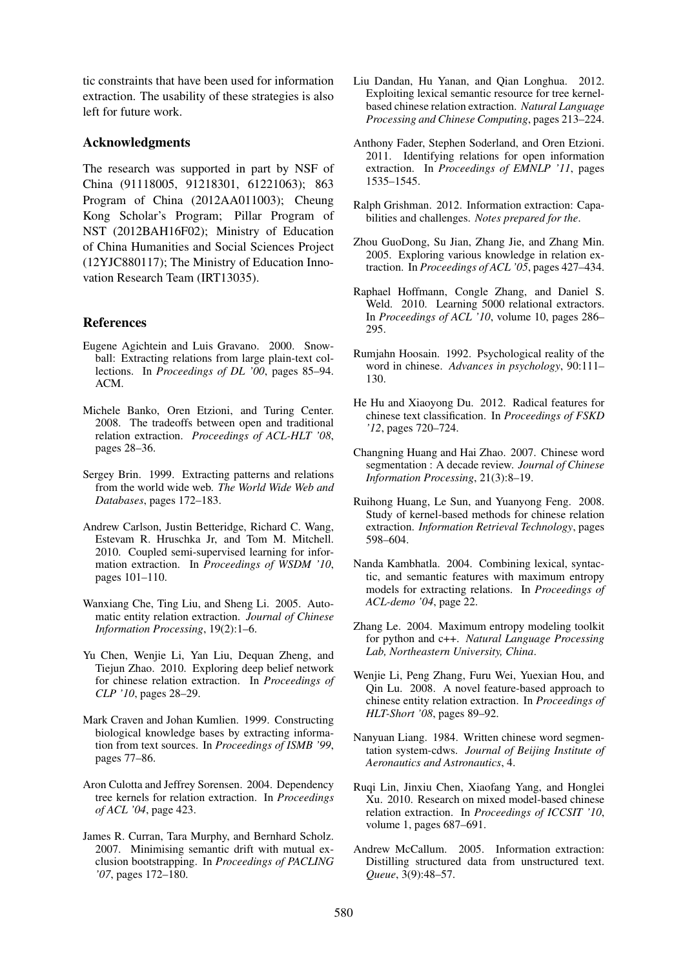tic constraints that have been used for information extraction. The usability of these strategies is also left for future work.

#### Acknowledgments

The research was supported in part by NSF of China (91118005, 91218301, 61221063); 863 Program of China (2012AA011003); Cheung Kong Scholar's Program; Pillar Program of NST (2012BAH16F02); Ministry of Education of China Humanities and Social Sciences Project (12YJC880117); The Ministry of Education Innovation Research Team (IRT13035).

### References

- Eugene Agichtein and Luis Gravano. 2000. Snowball: Extracting relations from large plain-text collections. In *Proceedings of DL '00*, pages 85–94. ACM.
- Michele Banko, Oren Etzioni, and Turing Center. 2008. The tradeoffs between open and traditional relation extraction. *Proceedings of ACL-HLT '08*, pages 28–36.
- Sergey Brin. 1999. Extracting patterns and relations from the world wide web. *The World Wide Web and Databases*, pages 172–183.
- Andrew Carlson, Justin Betteridge, Richard C. Wang, Estevam R. Hruschka Jr, and Tom M. Mitchell. 2010. Coupled semi-supervised learning for information extraction. In *Proceedings of WSDM '10*, pages 101–110.
- Wanxiang Che, Ting Liu, and Sheng Li. 2005. Automatic entity relation extraction. *Journal of Chinese Information Processing*, 19(2):1–6.
- Yu Chen, Wenjie Li, Yan Liu, Dequan Zheng, and Tiejun Zhao. 2010. Exploring deep belief network for chinese relation extraction. In *Proceedings of CLP '10*, pages 28–29.
- Mark Craven and Johan Kumlien. 1999. Constructing biological knowledge bases by extracting information from text sources. In *Proceedings of ISMB '99*, pages 77–86.
- Aron Culotta and Jeffrey Sorensen. 2004. Dependency tree kernels for relation extraction. In *Proceedings of ACL '04*, page 423.
- James R. Curran, Tara Murphy, and Bernhard Scholz. 2007. Minimising semantic drift with mutual exclusion bootstrapping. In *Proceedings of PACLING '07*, pages 172–180.
- Liu Dandan, Hu Yanan, and Qian Longhua. 2012. Exploiting lexical semantic resource for tree kernelbased chinese relation extraction. *Natural Language Processing and Chinese Computing*, pages 213–224.
- Anthony Fader, Stephen Soderland, and Oren Etzioni. 2011. Identifying relations for open information extraction. In *Proceedings of EMNLP '11*, pages 1535–1545.
- Ralph Grishman. 2012. Information extraction: Capabilities and challenges. *Notes prepared for the*.
- Zhou GuoDong, Su Jian, Zhang Jie, and Zhang Min. 2005. Exploring various knowledge in relation extraction. In *Proceedings of ACL '05*, pages 427–434.
- Raphael Hoffmann, Congle Zhang, and Daniel S. Weld. 2010. Learning 5000 relational extractors. In *Proceedings of ACL '10*, volume 10, pages 286– 295.
- Rumjahn Hoosain. 1992. Psychological reality of the word in chinese. *Advances in psychology*, 90:111– 130.
- He Hu and Xiaoyong Du. 2012. Radical features for chinese text classification. In *Proceedings of FSKD '12*, pages 720–724.
- Changning Huang and Hai Zhao. 2007. Chinese word segmentation : A decade review. *Journal of Chinese Information Processing*, 21(3):8–19.
- Ruihong Huang, Le Sun, and Yuanyong Feng. 2008. Study of kernel-based methods for chinese relation extraction. *Information Retrieval Technology*, pages 598–604.
- Nanda Kambhatla. 2004. Combining lexical, syntactic, and semantic features with maximum entropy models for extracting relations. In *Proceedings of ACL-demo '04*, page 22.
- Zhang Le. 2004. Maximum entropy modeling toolkit for python and c++. *Natural Language Processing Lab, Northeastern University, China*.
- Wenjie Li, Peng Zhang, Furu Wei, Yuexian Hou, and Qin Lu. 2008. A novel feature-based approach to chinese entity relation extraction. In *Proceedings of HLT-Short '08*, pages 89–92.
- Nanyuan Liang. 1984. Written chinese word segmentation system-cdws. *Journal of Beijing Institute of Aeronautics and Astronautics*, 4.
- Ruqi Lin, Jinxiu Chen, Xiaofang Yang, and Honglei Xu. 2010. Research on mixed model-based chinese relation extraction. In *Proceedings of ICCSIT '10*, volume 1, pages 687–691.
- Andrew McCallum. 2005. Information extraction: Distilling structured data from unstructured text. *Queue*, 3(9):48–57.